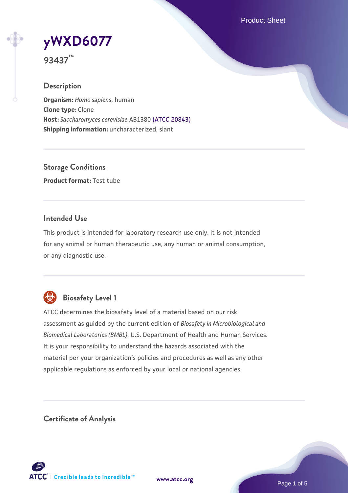Product Sheet



**93437™**

#### **Description**

**Organism:** *Homo sapiens*, human **Clone type:** Clone **Host:** *Saccharomyces cerevisiae* AB1380 [\(ATCC 20843\)](https://www.atcc.org/products/20843) **Shipping information:** uncharacterized, slant

**Storage Conditions Product format:** Test tube

#### **Intended Use**

This product is intended for laboratory research use only. It is not intended for any animal or human therapeutic use, any human or animal consumption, or any diagnostic use.



## **Biosafety Level 1**

ATCC determines the biosafety level of a material based on our risk assessment as guided by the current edition of *Biosafety in Microbiological and Biomedical Laboratories (BMBL)*, U.S. Department of Health and Human Services. It is your responsibility to understand the hazards associated with the material per your organization's policies and procedures as well as any other applicable regulations as enforced by your local or national agencies.

**Certificate of Analysis**

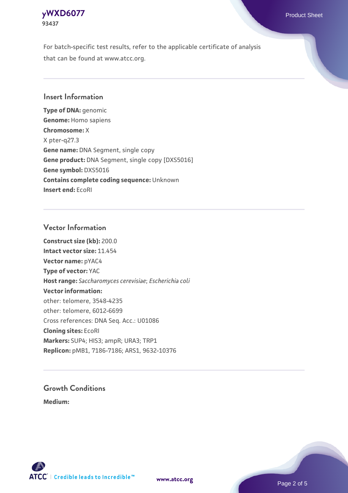### **[yWXD6077](https://www.atcc.org/products/93437)** Product Sheet **93437**

For batch-specific test results, refer to the applicable certificate of analysis that can be found at www.atcc.org.

#### **Insert Information**

**Type of DNA:** genomic **Genome:** Homo sapiens **Chromosome:** X X pter-q27.3 **Gene name:** DNA Segment, single copy **Gene product:** DNA Segment, single copy [DXS5016] **Gene symbol:** DXS5016 **Contains complete coding sequence:** Unknown **Insert end:** EcoRI

#### **Vector Information**

**Construct size (kb):** 200.0 **Intact vector size:** 11.454 **Vector name:** pYAC4 **Type of vector:** YAC **Host range:** *Saccharomyces cerevisiae*; *Escherichia coli* **Vector information:** other: telomere, 3548-4235 other: telomere, 6012-6699 Cross references: DNA Seq. Acc.: U01086 **Cloning sites:** EcoRI **Markers:** SUP4; HIS3; ampR; URA3; TRP1 **Replicon:** pMB1, 7186-7186; ARS1, 9632-10376

# **Growth Conditions**

**Medium:** 



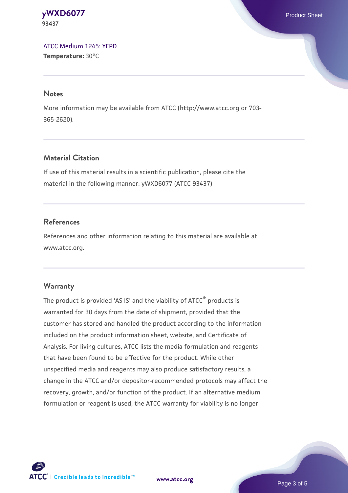**[yWXD6077](https://www.atcc.org/products/93437)** Product Sheet **93437**

[ATCC Medium 1245: YEPD](https://www.atcc.org/-/media/product-assets/documents/microbial-media-formulations/1/2/4/5/atcc-medium-1245.pdf?rev=705ca55d1b6f490a808a965d5c072196) **Temperature:** 30°C

#### **Notes**

More information may be available from ATCC (http://www.atcc.org or 703- 365-2620).

### **Material Citation**

If use of this material results in a scientific publication, please cite the material in the following manner: yWXD6077 (ATCC 93437)

#### **References**

References and other information relating to this material are available at www.atcc.org.

#### **Warranty**

The product is provided 'AS IS' and the viability of ATCC® products is warranted for 30 days from the date of shipment, provided that the customer has stored and handled the product according to the information included on the product information sheet, website, and Certificate of Analysis. For living cultures, ATCC lists the media formulation and reagents that have been found to be effective for the product. While other unspecified media and reagents may also produce satisfactory results, a change in the ATCC and/or depositor-recommended protocols may affect the recovery, growth, and/or function of the product. If an alternative medium formulation or reagent is used, the ATCC warranty for viability is no longer



**[www.atcc.org](http://www.atcc.org)**

Page 3 of 5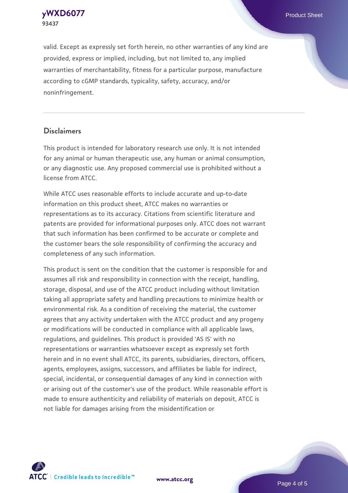**93437**

**[yWXD6077](https://www.atcc.org/products/93437)** Product Sheet

valid. Except as expressly set forth herein, no other warranties of any kind are provided, express or implied, including, but not limited to, any implied warranties of merchantability, fitness for a particular purpose, manufacture according to cGMP standards, typicality, safety, accuracy, and/or noninfringement.

#### **Disclaimers**

This product is intended for laboratory research use only. It is not intended for any animal or human therapeutic use, any human or animal consumption, or any diagnostic use. Any proposed commercial use is prohibited without a license from ATCC.

While ATCC uses reasonable efforts to include accurate and up-to-date information on this product sheet, ATCC makes no warranties or representations as to its accuracy. Citations from scientific literature and patents are provided for informational purposes only. ATCC does not warrant that such information has been confirmed to be accurate or complete and the customer bears the sole responsibility of confirming the accuracy and completeness of any such information.

This product is sent on the condition that the customer is responsible for and assumes all risk and responsibility in connection with the receipt, handling, storage, disposal, and use of the ATCC product including without limitation taking all appropriate safety and handling precautions to minimize health or environmental risk. As a condition of receiving the material, the customer agrees that any activity undertaken with the ATCC product and any progeny or modifications will be conducted in compliance with all applicable laws, regulations, and guidelines. This product is provided 'AS IS' with no representations or warranties whatsoever except as expressly set forth herein and in no event shall ATCC, its parents, subsidiaries, directors, officers, agents, employees, assigns, successors, and affiliates be liable for indirect, special, incidental, or consequential damages of any kind in connection with or arising out of the customer's use of the product. While reasonable effort is made to ensure authenticity and reliability of materials on deposit, ATCC is not liable for damages arising from the misidentification or



**[www.atcc.org](http://www.atcc.org)**

Page 4 of 5